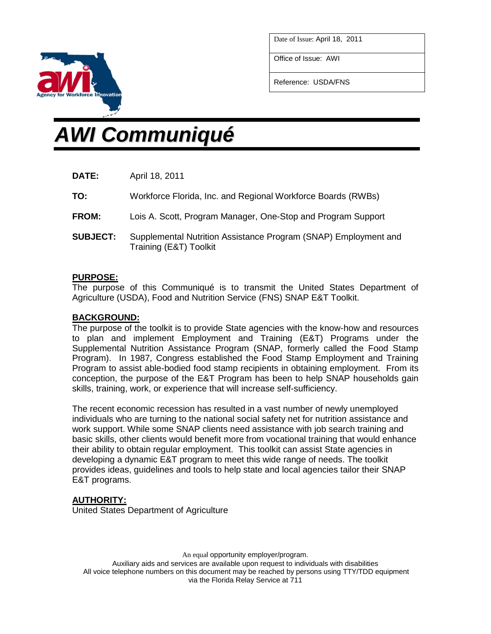

Office of Issue: AWI

Reference: USDA/FNS



# *AWI Communiqué*

- **DATE:** April 18, 2011
- **TO:** Workforce Florida, Inc. and Regional Workforce Boards (RWBs)
- **FROM:** Lois A. Scott, Program Manager, One-Stop and Program Support
- **SUBJECT:** Supplemental Nutrition Assistance Program (SNAP) Employment and Training (E&T) Toolkit

## **PURPOSE:**

The purpose of this Communiqué is to transmit the United States Department of Agriculture (USDA), Food and Nutrition Service (FNS) SNAP E&T Toolkit.

### **BACKGROUND:**

The purpose of the toolkit is to provide State agencies with the know-how and resources to plan and implement Employment and Training (E&T) Programs under the Supplemental Nutrition Assistance Program (SNAP, formerly called the Food Stamp Program). In 1987, Congress established the Food Stamp Employment and Training Program to assist able-bodied food stamp recipients in obtaining employment. From its conception, the purpose of the E&T Program has been to help SNAP households gain skills, training, work, or experience that will increase self-sufficiency.

The recent economic recession has resulted in a vast number of newly unemployed individuals who are turning to the national social safety net for nutrition assistance and work support. While some SNAP clients need assistance with job search training and basic skills, other clients would benefit more from vocational training that would enhance their ability to obtain regular employment. This toolkit can assist State agencies in developing a dynamic E&T program to meet this wide range of needs. The toolkit provides ideas, guidelines and tools to help state and local agencies tailor their SNAP E&T programs.

## **AUTHORITY:**

United States Department of Agriculture

An equal opportunity employer/program.

Auxiliary aids and services are available upon request to individuals with disabilities All voice telephone numbers on this document may be reached by persons using TTY/TDD equipment via the Florida Relay Service at 711